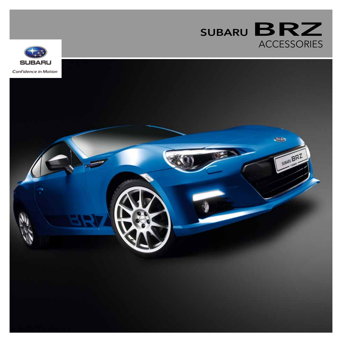

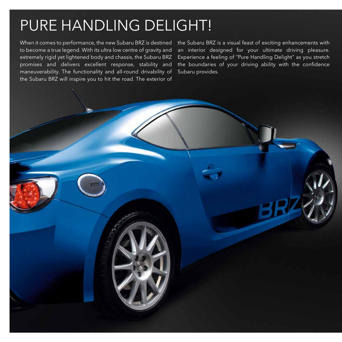# Pure Handling Delight!

When it comes to performance, the new Subaru BRZ is destined to become a true legend. With its ultra low centre of gravity and extremely rigid yet lightened body and chassis, the Subaru BRZ promises and delivers excellent response, stability and maneuverability. The functionality and all-round drivability of the Subaru BRZ will inspire you to hit the road. The exterior of

the Subaru BRZ is a visual feast of exciting enhancements with an interior designed for your ultimate driving pleasure. Experience a feeling of "Pure Handling Delight" as you stretch the boundaries of your driving ability with the confidence Subaru provides.

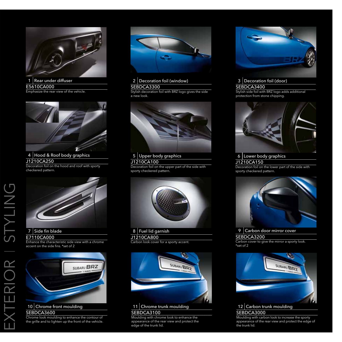

1 Rear under diffuser E5610CA000 Emphasize the rear view of the vehicle.



4 Hood & Roof body graphics J1210CA250 Decoration foil on the hood and roof with sporty checkered pattern.



## 7 Side fin blade

E7110CA000

Enhance the characteristic side view with a chrome accent on the side fins. \*set of 2



#### 10 Chrome front moulding SEBDCA3600

Chrome look moulding to enhance the contour of the grille and to lighten up the front of the vehicle.



# 2 | Decoration foil (window)

SEBDCA3300 Stylish decoration foil with BRZ logo gives the side a new look.



5 Upper body graphics

J1210CA100 Decoration foil on the upper part of the side with sporty checkered pattern.



# 8 Fuel lid garnish

J1210CA800

**Carbon look cover for a sporty accent.** 



11 Chrome trunk moulding SEBDCA3100

Moulding with chrome look to enhance the appearance of the rear view and protect the edge of the trunk lid.



# 3 Decoration foil (door)

SEBDCA3400 Stylish side foil with BRZ logo adds additional protection from stone chipping.



6 Lower body graphics J1210CA150 Decoration foil on the lower part of the side with sporty checkered pattern.



9 Carbon door mirror cover

#### SEBDCA3200

Carbon cover to give the mirror a sporty look. \*set of 2



12 Carbon trunk moulding SEBDCA3000

Moulding with carbon look to increase the sporty appearance of the rear view and protect the edge of the trunk lid.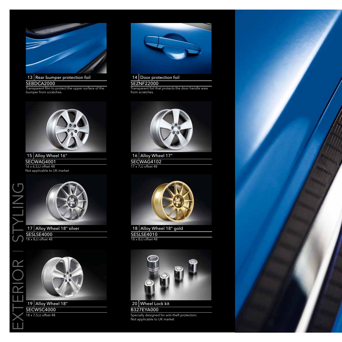

13 Rear bumper protection foil SEBDCA2000

Transparent film to protect the upper surface of the bumper from scratches.



15 Alloy Wheel 16" SECWAG4001 16 x 6,5JJ offset 48 Not applicable to UK market



17 Alloy Wheel 18" silver SESLSE4000 18 x 8JJ offset 48



19 Alloy Wheel 18" SECWSC4000 18 x 7,5JJ offset 48

exterior I Styling

 $) \mathsf{K}$ 

 $\overline{\underline{\mathsf{Z}}}$ 



### 14 Door protection foil

**SEZNF22000** 

Transparent foil that protects the door handle area from scratches.



16 Alloy Wheel 17" SECWAG4102 17 x 7JJ offset 48



18 Alloy Wheel 18" gold **SESLSE4010** 18 x 8JJ offset 48



B327EYA000 Specially designed for anti-theft protection. Not applicable to UK market

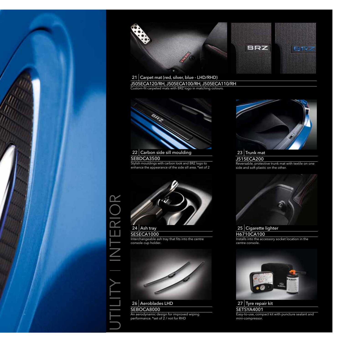



21 Carpet mat (red, silver, blue - LHD/RHD) J505ECA120/RH, J505ECA100/RH, J505ECA110/RH

Custom-fit carpeted mats with BRZ logo in matching colours.

# 22 Carbon side sill moulding

#### SEBDCA3500

Stylish mouldings with carbon look and BRZ logo to enhance the appearance of the side sill area. \*set of 2



UTILITY I INTERIOR

 $|\mathsf{R}|$ 

Ц

SESECA1000 Interchangeable ash tray that fits into the centre console cup holder.



SEBOCA8000 An aerodynamic design for improved wiping performance. \*set of 2 / not for RHD



23 Trunk mat J515ECA200 Reversable, protective trunk mat with textile on one side and soft plastic on the other.



H6710CA100 Installs into the accessory socket location in the centre console.



**SETSYA4001** Easy-to-use, compact kit with puncture sealant and mini-compressor.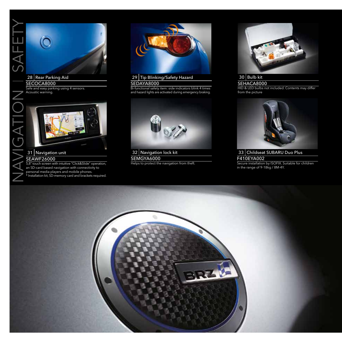

SECOCA8000

 $\bigcap$ 

Safe and easy parking using 4 sensors. Acoustic warning.



### 31 Navigation unit

### SEAWF26000

5,8" touch screen with intuitive "Click&Slide" operation, an SD-card based navigation with connectivity to personal media players and mobile phones. \* Installation kit, SD-memory card and brackets required.



29 Tip Blinking/Safety Hazard SEDAYA8000

Bi-functional safety item: side indicators blink 4 times and hazard lights are activated during emergency braking.



32 Navigation lock kit SEMGYA6000 Helps to protect the navigation from theft.



 $30$  Bulb kit SEHACA8000 HID & LED bulbs not included. Contents may differ from the picture



33 Childseat SUBARU Duo Plus F410EYA002 Secure installation by ISOFIX. Suitable for children in the range of 9-18kg / 8M-4Y.

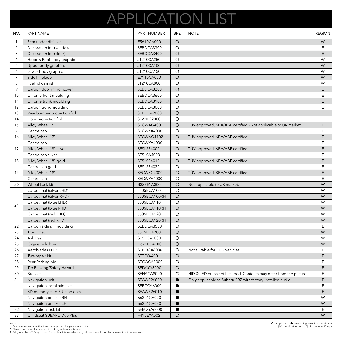# APPLICATION LIST

| NO.                      | PART NAME                   | PART NUMBER              | <b>BRZ</b> | <b>NOTE</b>                                                         | <b>REGION</b> |
|--------------------------|-----------------------------|--------------------------|------------|---------------------------------------------------------------------|---------------|
| $\mathbf{1}$             | Rear under diffuser         | E5610CA000               | $\circ$    |                                                                     | ${\sf W}$     |
| 2                        | Decoration foil (window)    | SEBDCA3300               | O          |                                                                     | Ε             |
| 3                        | Decoration foil (door)      | SEBDCA3400               | $\circ$    |                                                                     | E             |
| 4                        | Hood & Roof body graphics   | J1210CA250               | $\circ$    |                                                                     | W             |
| 5                        | Upper body graphics         | J1210CA100               | $\bigcirc$ |                                                                     | W             |
| 6                        | Lower body graphics         | J1210CA150               | $\circ$    |                                                                     | W             |
| $\overline{7}$           | Side fin blade              | E7110CA000               | $\circ$    |                                                                     | W             |
| 8                        | Fuel lid garnish            | J1210CA800               | $\circ$    |                                                                     | W             |
| 9                        | Carbon door mirror cover    | SEBDCA3200               | $\circ$    |                                                                     | E             |
| 10                       | Chrome front moulding       | SEBDCA3600               | $\circ$    |                                                                     | Ε             |
| 11                       | Chrome trunk moulding       | SEBDCA3100               | $\circ$    |                                                                     | Ε             |
| 12                       | Carbon trunk moulding       | SEBDCA3000               | $\circ$    |                                                                     | E             |
| 13                       | Rear bumper protection foil | SEBDCA2000               | $\circ$    |                                                                     | E             |
| 14                       | Door protection foil        | SEZNF22000               | $\circ$    |                                                                     | E             |
| 15                       | Alloy Wheel 16"             | SECWAG4001               | $\circ$    | TÜV-approved, KBA/ABE certified - Not applicable to UK market.      | Ε             |
|                          | Centre cap                  | SECWYA4000               | $\circ$    |                                                                     | Ε             |
| 16                       | Alloy Wheel 17"             | SECWAG4102               | $\circ$    | TÜV-approved, KBA/ABE certified                                     | E             |
|                          | Centre cap                  | SECWYA4000               | $\circ$    |                                                                     | E             |
| 17                       | Alloy Wheel 18" silver      | SESLSE4000               | $\circ$    | TÜV-approved, KBA/ABE certified                                     | E             |
|                          | Centre cap silver           | SESLSA4020               | $\circ$    |                                                                     | Ε             |
| 18                       | Alloy Wheel 18" gold        | SESLSE4010               | $\circ$    | TÜV-approved, KBA/ABE certified                                     | E             |
| $\overline{\phantom{a}}$ | Centre cap gold             | SESLSE4030               | $\circ$    |                                                                     | E             |
| 19                       | Alloy Wheel 18"             | SECWSC4000               | $\circ$    | TÜV-approved, KBA/ABE certified                                     | E             |
|                          | Centre cap                  | SECWYA4000               | $\circ$    |                                                                     | E             |
| 20                       | Wheel Lock kit              | B327EYA000               | $\circ$    | Not applicable to UK market.                                        | W             |
|                          | Carpet mat (silver LHD)     | J505ECA100               | $\circ$    |                                                                     | W             |
| 21                       | Carpet mat (silver RHD)     | J505ECA100RH             | $\circ$    |                                                                     | W             |
|                          | Carpet mat (blue LHD)       | J505ECA110               | $\circ$    |                                                                     | W             |
|                          | Carpet mat (blue RHD)       | J505ECA110RH             | $\circ$    |                                                                     | W             |
|                          | Carpet mat (red LHD)        | J505ECA120               | $\circ$    |                                                                     | W             |
|                          | Carpet mat (red RHD)        | J505ECA120RH             | $\circ$    |                                                                     | W             |
| 22                       | Carbon side sill moulding   | SEBDCA3500               |            |                                                                     | Ε             |
|                          |                             |                          | $\circ$    |                                                                     |               |
| 23<br>24                 | Trunk mat<br>Ash tray       | J515ECA200<br>SESECA1000 | $\bigcirc$ |                                                                     | W<br>W        |
|                          |                             |                          | $\circ$    |                                                                     |               |
| 25                       | Cigarette lighter           | H6710CA100               | $\bigcirc$ |                                                                     | ${\sf W}$     |
| 26                       | Aeroblades LHD              | SEBOCA8000               | $\circ$    | Not suitable for RHD vehicles                                       | Ε             |
| 27                       | Tyre repair kit             | SETSYA4001               | $\circ$    |                                                                     | Ε             |
| 28                       | Rear Parking Aid            | SECOCA8000               | $\circ$    |                                                                     | Ε             |
| 29                       | Tip Blinking/Safety Hazard  | SEDAYA8000               | O          |                                                                     | E             |
| 30                       | Bulb kit                    | SEHACA8000               | $\circ$    | HID & LED bulbs not included. Contents may differ from the picture. | Ε             |
| 31                       | Navigation unit             | SEAWF26000               |            | Only applicable to Subaru BRZ with factory-installed audio.         | Ε             |
|                          | Navigation installation kit | SEECCA6000               | $\bullet$  |                                                                     | Ε             |
| $\blacksquare$           | SD-memory card EU map data  | SEAWF26010               |            |                                                                     | E             |
| $\overline{\phantom{a}}$ | Navigation bracket RH       | 66201CA020               |            |                                                                     | W             |
| $\sim$                   | Navigation bracket LH       | 66201CA030               |            |                                                                     | W             |
| 32                       | Navigation lock kit         | SEMGYA6000               |            |                                                                     | Ε             |
| 33                       | Childseat SUBARU Duo Plus   | F410EYA002               | $\circ$    |                                                                     | W             |

Note:<br>1. Part numbers and specifications are subject to change without notice.<br>2. Please confirm local requirements and regulations in advance.<br>3. Alloy wheels are TÜV-approved. For applicability in each country, please ch